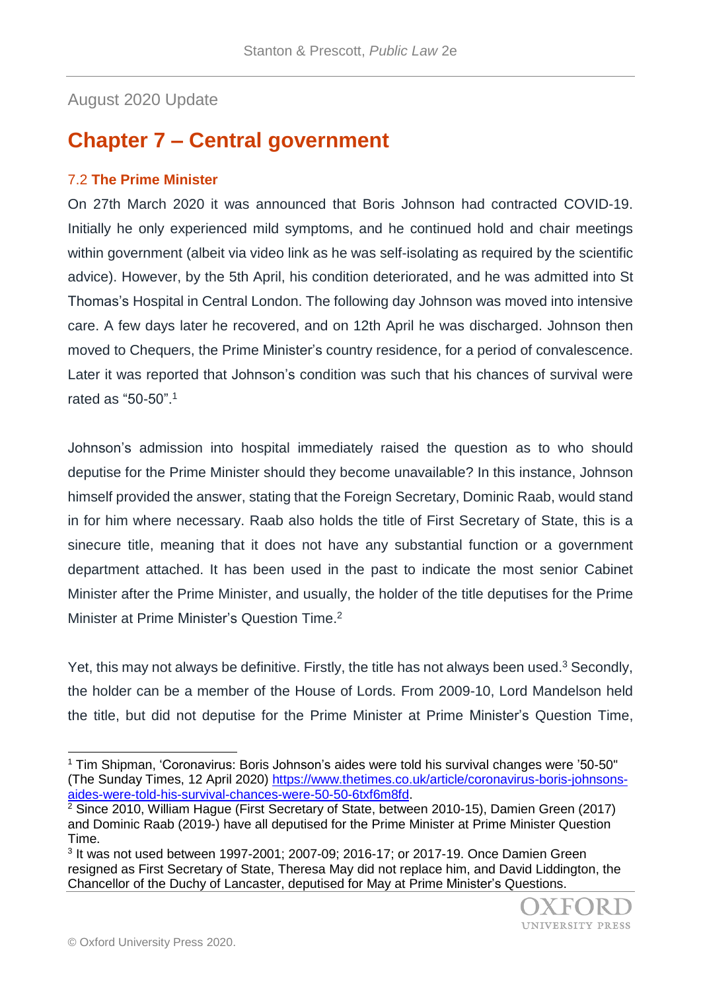August 2020 Update

## **Chapter 7 – Central government**

## 7.2 **The Prime Minister**

On 27th March 2020 it was announced that Boris Johnson had contracted COVID-19. Initially he only experienced mild symptoms, and he continued hold and chair meetings within government (albeit via video link as he was self-isolating as required by the scientific advice). However, by the 5th April, his condition deteriorated, and he was admitted into St Thomas's Hospital in Central London. The following day Johnson was moved into intensive care. A few days later he recovered, and on 12th April he was discharged. Johnson then moved to Chequers, the Prime Minister's country residence, for a period of convalescence. Later it was reported that Johnson's condition was such that his chances of survival were rated as "50-50".<sup>1</sup>

Johnson's admission into hospital immediately raised the question as to who should deputise for the Prime Minister should they become unavailable? In this instance, Johnson himself provided the answer, stating that the Foreign Secretary, Dominic Raab, would stand in for him where necessary. Raab also holds the title of First Secretary of State, this is a sinecure title, meaning that it does not have any substantial function or a government department attached. It has been used in the past to indicate the most senior Cabinet Minister after the Prime Minister, and usually, the holder of the title deputises for the Prime Minister at Prime Minister's Question Time.<sup>2</sup>

Yet, this may not always be definitive. Firstly, the title has not always been used. $3$  Secondly, the holder can be a member of the House of Lords. From 2009-10, Lord Mandelson held the title, but did not deputise for the Prime Minister at Prime Minister's Question Time,

<sup>1</sup> Tim Shipman, 'Coronavirus: Boris Johnson's aides were told his survival changes were '50-50'' (The Sunday Times, 12 April 2020) [https://www.thetimes.co.uk/article/coronavirus-boris-johnsons](https://www.thetimes.co.uk/article/coronavirus-boris-johnsons-aides-were-told-his-survival-chances-were-50-50-6txf6m8fd)[aides-were-told-his-survival-chances-were-50-50-6txf6m8fd.](https://www.thetimes.co.uk/article/coronavirus-boris-johnsons-aides-were-told-his-survival-chances-were-50-50-6txf6m8fd)

 $2$  Since 2010, William Haque (First Secretary of State, between 2010-15), Damien Green (2017) and Dominic Raab (2019-) have all deputised for the Prime Minister at Prime Minister Question Time.

<sup>3</sup> It was not used between 1997-2001; 2007-09; 2016-17; or 2017-19. Once Damien Green resigned as First Secretary of State, Theresa May did not replace him, and David Liddington, the Chancellor of the Duchy of Lancaster, deputised for May at Prime Minister's Questions.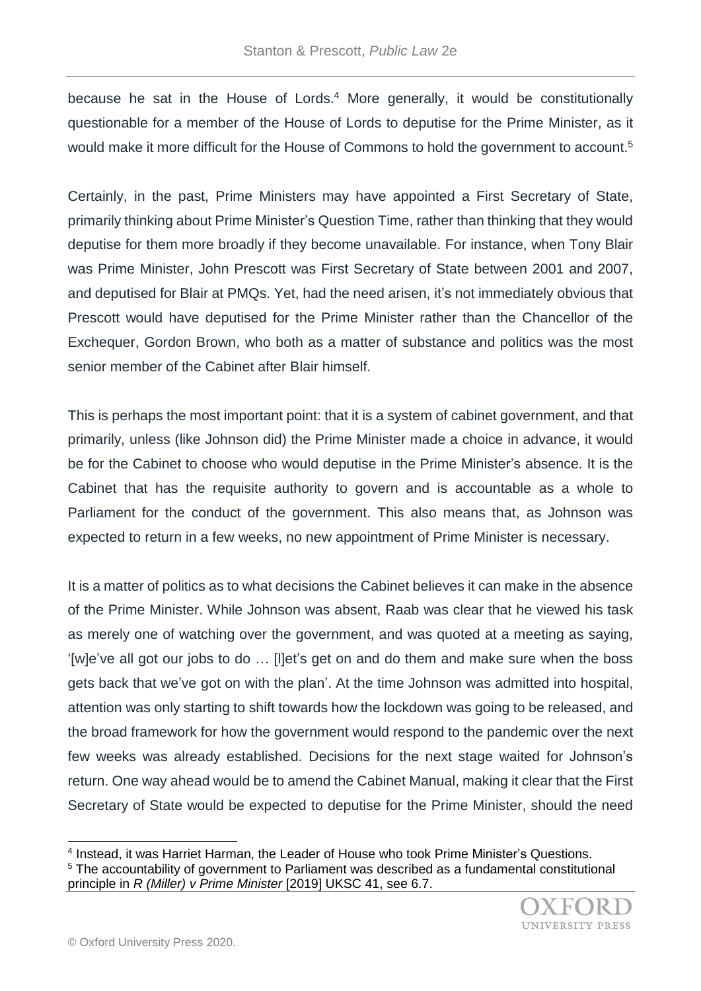because he sat in the House of Lords.<sup>4</sup> More generally, it would be constitutionally questionable for a member of the House of Lords to deputise for the Prime Minister, as it would make it more difficult for the House of Commons to hold the government to account.<sup>5</sup>

Certainly, in the past, Prime Ministers may have appointed a First Secretary of State, primarily thinking about Prime Minister's Question Time, rather than thinking that they would deputise for them more broadly if they become unavailable. For instance, when Tony Blair was Prime Minister, John Prescott was First Secretary of State between 2001 and 2007, and deputised for Blair at PMQs. Yet, had the need arisen, it's not immediately obvious that Prescott would have deputised for the Prime Minister rather than the Chancellor of the Exchequer, Gordon Brown, who both as a matter of substance and politics was the most senior member of the Cabinet after Blair himself.

This is perhaps the most important point: that it is a system of cabinet government, and that primarily, unless (like Johnson did) the Prime Minister made a choice in advance, it would be for the Cabinet to choose who would deputise in the Prime Minister's absence. It is the Cabinet that has the requisite authority to govern and is accountable as a whole to Parliament for the conduct of the government. This also means that, as Johnson was expected to return in a few weeks, no new appointment of Prime Minister is necessary.

It is a matter of politics as to what decisions the Cabinet believes it can make in the absence of the Prime Minister. While Johnson was absent, Raab was clear that he viewed his task as merely one of watching over the government, and was quoted at a meeting as saying, '[w]e've all got our jobs to do … [l]et's get on and do them and make sure when the boss gets back that we've got on with the plan'. At the time Johnson was admitted into hospital, attention was only starting to shift towards how the lockdown was going to be released, and the broad framework for how the government would respond to the pandemic over the next few weeks was already established. Decisions for the next stage waited for Johnson's return. One way ahead would be to amend the Cabinet Manual, making it clear that the First Secretary of State would be expected to deputise for the Prime Minister, should the need

<sup>&</sup>lt;sup>4</sup> Instead, it was Harriet Harman, the Leader of House who took Prime Minister's Questions. <sup>5</sup> The accountability of government to Parliament was described as a fundamental constitutional principle in *R (Miller) v Prime Minister* [2019] UKSC 41, see 6.7.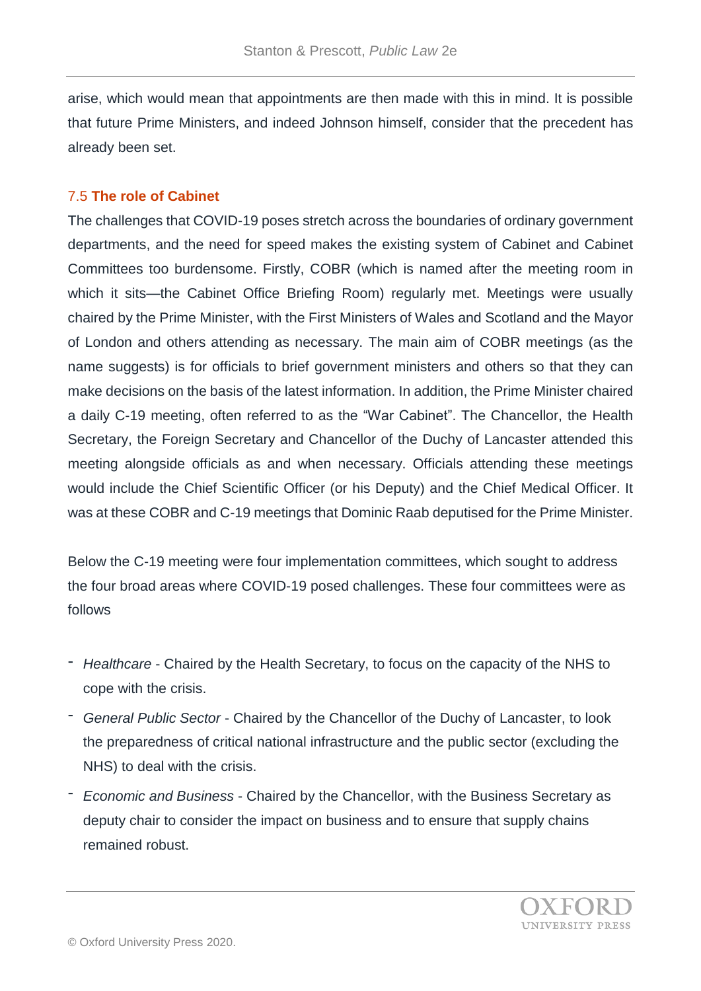arise, which would mean that appointments are then made with this in mind. It is possible that future Prime Ministers, and indeed Johnson himself, consider that the precedent has already been set.

## 7.5 **The role of Cabinet**

The challenges that COVID-19 poses stretch across the boundaries of ordinary government departments, and the need for speed makes the existing system of Cabinet and Cabinet Committees too burdensome. Firstly, COBR (which is named after the meeting room in which it sits—the Cabinet Office Briefing Room) regularly met. Meetings were usually chaired by the Prime Minister, with the First Ministers of Wales and Scotland and the Mayor of London and others attending as necessary. The main aim of COBR meetings (as the name suggests) is for officials to brief government ministers and others so that they can make decisions on the basis of the latest information. In addition, the Prime Minister chaired a daily C-19 meeting, often referred to as the "War Cabinet". The Chancellor, the Health Secretary, the Foreign Secretary and Chancellor of the Duchy of Lancaster attended this meeting alongside officials as and when necessary. Officials attending these meetings would include the Chief Scientific Officer (or his Deputy) and the Chief Medical Officer. It was at these COBR and C-19 meetings that Dominic Raab deputised for the Prime Minister.

Below the C-19 meeting were four implementation committees, which sought to address the four broad areas where COVID-19 posed challenges. These four committees were as follows

- *Healthcare* Chaired by the Health Secretary, to focus on the capacity of the NHS to cope with the crisis.
- *General Public Sector* Chaired by the Chancellor of the Duchy of Lancaster, to look the preparedness of critical national infrastructure and the public sector (excluding the NHS) to deal with the crisis.
- *Economic and Business* Chaired by the Chancellor, with the Business Secretary as deputy chair to consider the impact on business and to ensure that supply chains remained robust.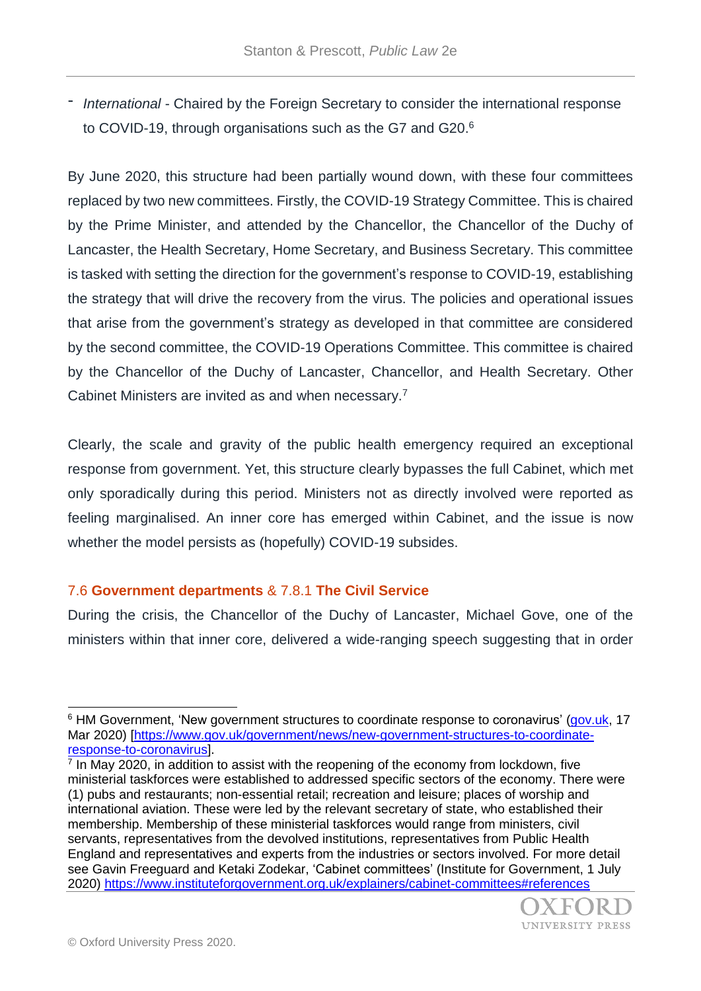- *International* - Chaired by the Foreign Secretary to consider the international response to COVID-19, through organisations such as the G7 and G20.<sup>6</sup>

By June 2020, this structure had been partially wound down, with these four committees replaced by two new committees. Firstly, the COVID-19 Strategy Committee. This is chaired by the Prime Minister, and attended by the Chancellor, the Chancellor of the Duchy of Lancaster, the Health Secretary, Home Secretary, and Business Secretary. This committee is tasked with setting the direction for the government's response to COVID-19, establishing the strategy that will drive the recovery from the virus. The policies and operational issues that arise from the government's strategy as developed in that committee are considered by the second committee, the COVID-19 Operations Committee. This committee is chaired by the Chancellor of the Duchy of Lancaster, Chancellor, and Health Secretary. Other Cabinet Ministers are invited as and when necessary.<sup>7</sup>

Clearly, the scale and gravity of the public health emergency required an exceptional response from government. Yet, this structure clearly bypasses the full Cabinet, which met only sporadically during this period. Ministers not as directly involved were reported as feeling marginalised. An inner core has emerged within Cabinet, and the issue is now whether the model persists as (hopefully) COVID-19 subsides.

## 7.6 **Government departments** & 7.8.1 **The Civil Service**

During the crisis, the Chancellor of the Duchy of Lancaster, Michael Gove, one of the ministers within that inner core, delivered a wide-ranging speech suggesting that in order

<sup>&</sup>lt;sup>7</sup> In May 2020, in addition to assist with the reopening of the economy from lockdown, five ministerial taskforces were established to addressed specific sectors of the economy. There were (1) pubs and restaurants; non-essential retail; recreation and leisure; places of worship and international aviation. These were led by the relevant secretary of state, who established their membership. Membership of these ministerial taskforces would range from ministers, civil servants, representatives from the devolved institutions, representatives from Public Health England and representatives and experts from the industries or sectors involved. For more detail see Gavin Freeguard and Ketaki Zodekar, 'Cabinet committees' (Institute for Government, 1 July 2020) <https://www.instituteforgovernment.org.uk/explainers/cabinet-committees#references>



<sup>&</sup>lt;sup>6</sup> HM Government, 'New government structures to coordinate response to coronavirus' [\(gov.uk,](http://gov.uk/) 17 Mar 2020) [\[https://www.gov.uk/government/news/new-government-structures-to-coordinate](https://www.gov.uk/government/news/new-government-structures-to-coordinate-response-to-coronavirus)[response-to-coronavirus\]](https://www.gov.uk/government/news/new-government-structures-to-coordinate-response-to-coronavirus).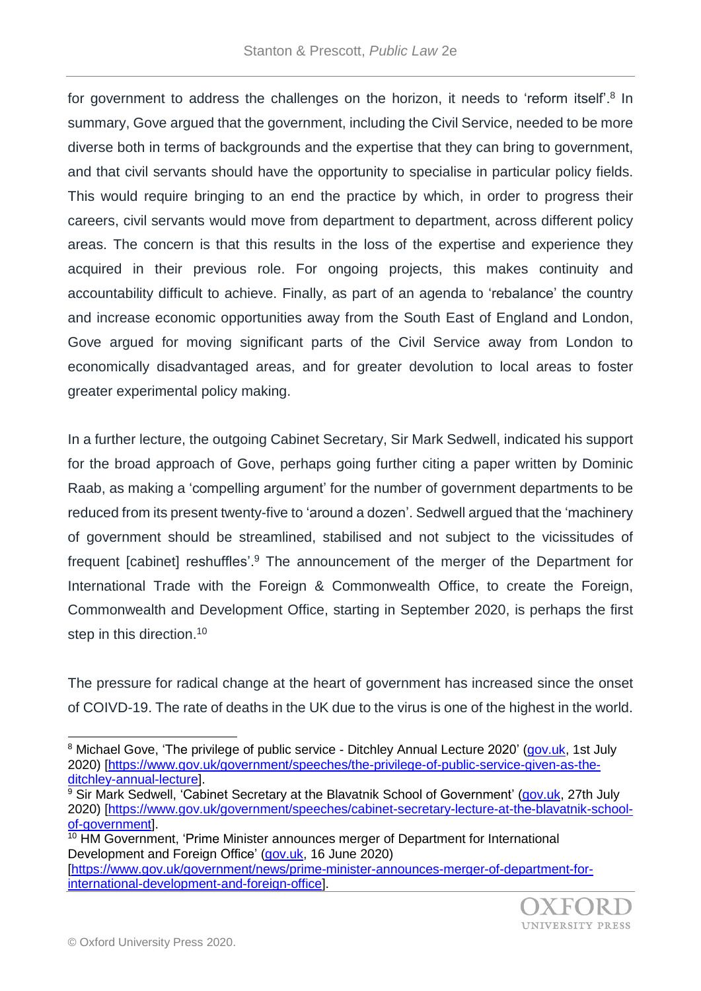for government to address the challenges on the horizon, it needs to 'reform itself'.<sup>8</sup> In summary, Gove argued that the government, including the Civil Service, needed to be more diverse both in terms of backgrounds and the expertise that they can bring to government, and that civil servants should have the opportunity to specialise in particular policy fields. This would require bringing to an end the practice by which, in order to progress their careers, civil servants would move from department to department, across different policy areas. The concern is that this results in the loss of the expertise and experience they acquired in their previous role. For ongoing projects, this makes continuity and accountability difficult to achieve. Finally, as part of an agenda to 'rebalance' the country and increase economic opportunities away from the South East of England and London, Gove argued for moving significant parts of the Civil Service away from London to economically disadvantaged areas, and for greater devolution to local areas to foster greater experimental policy making.

In a further lecture, the outgoing Cabinet Secretary, Sir Mark Sedwell, indicated his support for the broad approach of Gove, perhaps going further citing a paper written by Dominic Raab, as making a 'compelling argument' for the number of government departments to be reduced from its present twenty-five to 'around a dozen'. Sedwell argued that the 'machinery of government should be streamlined, stabilised and not subject to the vicissitudes of frequent [cabinet] reshuffles'.<sup>9</sup> The announcement of the merger of the Department for International Trade with the Foreign & Commonwealth Office, to create the Foreign, Commonwealth and Development Office, starting in September 2020, is perhaps the first step in this direction.<sup>10</sup>

The pressure for radical change at the heart of government has increased since the onset of COIVD-19. The rate of deaths in the UK due to the virus is one of the highest in the world.

[international-development-and-foreign-office\]](https://www.gov.uk/government/news/prime-minister-announces-merger-of-department-for-international-development-and-foreign-office).



<sup>&</sup>lt;sup>8</sup> Michael Gove, 'The privilege of public service - Ditchley Annual Lecture 2020' [\(gov.uk,](http://gov.uk/) 1st July 2020) [\[https://www.gov.uk/government/speeches/the-privilege-of-public-service-given-as-the](https://www.gov.uk/government/speeches/the-privilege-of-public-service-given-as-the-ditchley-annual-lecture)[ditchley-annual-lecture\]](https://www.gov.uk/government/speeches/the-privilege-of-public-service-given-as-the-ditchley-annual-lecture).

 $9$  Sir Mark Sedwell, 'Cabinet Secretary at the Blavatnik School of Government' [\(gov.uk,](http://gov.uk/) 27th July 2020) [\[https://www.gov.uk/government/speeches/cabinet-secretary-lecture-at-the-blavatnik-school](https://www.gov.uk/government/speeches/cabinet-secretary-lecture-at-the-blavatnik-school-of-government)[of-government\]](https://www.gov.uk/government/speeches/cabinet-secretary-lecture-at-the-blavatnik-school-of-government).

<sup>&</sup>lt;sup>10</sup> HM Government, 'Prime Minister announces merger of Department for International Development and Foreign Office' [\(gov.uk,](http://gov.uk/) 16 June 2020) [\[https://www.gov.uk/government/news/prime-minister-announces-merger-of-department-for-](https://www.gov.uk/government/news/prime-minister-announces-merger-of-department-for-international-development-and-foreign-office)